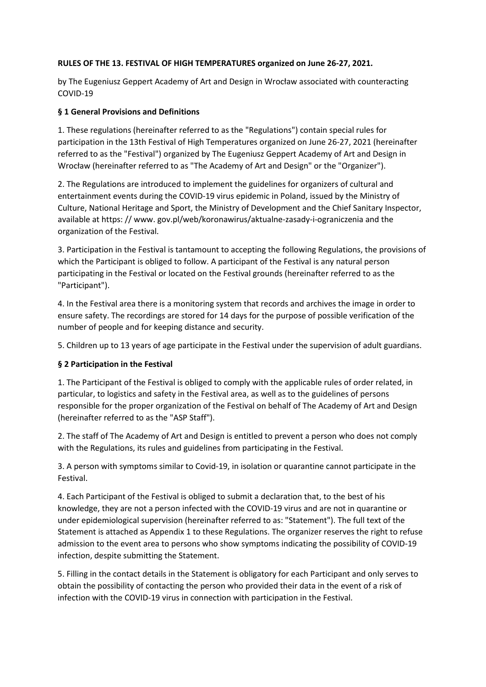## **RULES OF THE 13. FESTIVAL OF HIGH TEMPERATURES organized on June 26-27, 2021.**

by The Eugeniusz Geppert Academy of Art and Design in Wrocław associated with counteracting COVID-19

#### **§ 1 General Provisions and Definitions**

1. These regulations (hereinafter referred to as the "Regulations") contain special rules for participation in the 13th Festival of High Temperatures organized on June 26-27, 2021 (hereinafter referred to as the "Festival") organized by The Eugeniusz Geppert Academy of Art and Design in Wrocław (hereinafter referred to as "The Academy of Art and Design" or the "Organizer").

2. The Regulations are introduced to implement the guidelines for organizers of cultural and entertainment events during the COVID-19 virus epidemic in Poland, issued by the Ministry of Culture, National Heritage and Sport, the Ministry of Development and the Chief Sanitary Inspector, available at https: // www. gov.pl/web/koronawirus/aktualne-zasady-i-ograniczenia and the organization of the Festival.

3. Participation in the Festival is tantamount to accepting the following Regulations, the provisions of which the Participant is obliged to follow. A participant of the Festival is any natural person participating in the Festival or located on the Festival grounds (hereinafter referred to as the "Participant").

4. In the Festival area there is a monitoring system that records and archives the image in order to ensure safety. The recordings are stored for 14 days for the purpose of possible verification of the number of people and for keeping distance and security.

5. Children up to 13 years of age participate in the Festival under the supervision of adult guardians.

## **§ 2 Participation in the Festival**

1. The Participant of the Festival is obliged to comply with the applicable rules of order related, in particular, to logistics and safety in the Festival area, as well as to the guidelines of persons responsible for the proper organization of the Festival on behalf of The Academy of Art and Design (hereinafter referred to as the "ASP Staff").

2. The staff of The Academy of Art and Design is entitled to prevent a person who does not comply with the Regulations, its rules and guidelines from participating in the Festival.

3. A person with symptoms similar to Covid-19, in isolation or quarantine cannot participate in the Festival.

4. Each Participant of the Festival is obliged to submit a declaration that, to the best of his knowledge, they are not a person infected with the COVID-19 virus and are not in quarantine or under epidemiological supervision (hereinafter referred to as: "Statement"). The full text of the Statement is attached as Appendix 1 to these Regulations. The organizer reserves the right to refuse admission to the event area to persons who show symptoms indicating the possibility of COVID-19 infection, despite submitting the Statement.

5. Filling in the contact details in the Statement is obligatory for each Participant and only serves to obtain the possibility of contacting the person who provided their data in the event of a risk of infection with the COVID-19 virus in connection with participation in the Festival.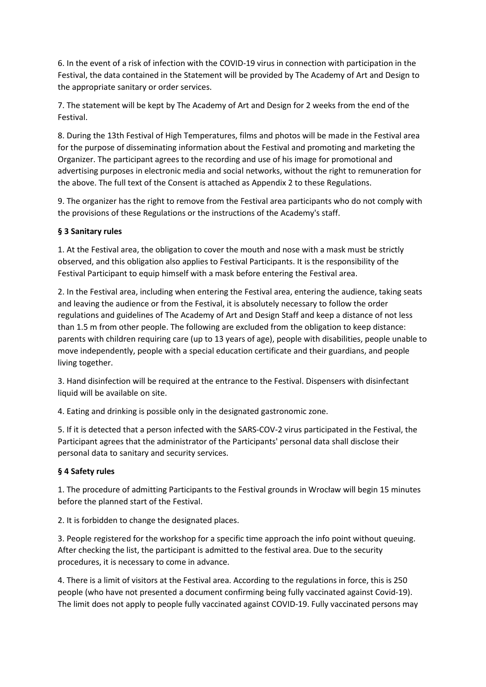6. In the event of a risk of infection with the COVID-19 virus in connection with participation in the Festival, the data contained in the Statement will be provided by The Academy of Art and Design to the appropriate sanitary or order services.

7. The statement will be kept by The Academy of Art and Design for 2 weeks from the end of the Festival.

8. During the 13th Festival of High Temperatures, films and photos will be made in the Festival area for the purpose of disseminating information about the Festival and promoting and marketing the Organizer. The participant agrees to the recording and use of his image for promotional and advertising purposes in electronic media and social networks, without the right to remuneration for the above. The full text of the Consent is attached as Appendix 2 to these Regulations.

9. The organizer has the right to remove from the Festival area participants who do not comply with the provisions of these Regulations or the instructions of the Academy's staff.

# **§ 3 Sanitary rules**

1. At the Festival area, the obligation to cover the mouth and nose with a mask must be strictly observed, and this obligation also applies to Festival Participants. It is the responsibility of the Festival Participant to equip himself with a mask before entering the Festival area.

2. In the Festival area, including when entering the Festival area, entering the audience, taking seats and leaving the audience or from the Festival, it is absolutely necessary to follow the order regulations and guidelines of The Academy of Art and Design Staff and keep a distance of not less than 1.5 m from other people. The following are excluded from the obligation to keep distance: parents with children requiring care (up to 13 years of age), people with disabilities, people unable to move independently, people with a special education certificate and their guardians, and people living together.

3. Hand disinfection will be required at the entrance to the Festival. Dispensers with disinfectant liquid will be available on site.

4. Eating and drinking is possible only in the designated gastronomic zone.

5. If it is detected that a person infected with the SARS-COV-2 virus participated in the Festival, the Participant agrees that the administrator of the Participants' personal data shall disclose their personal data to sanitary and security services.

## **§ 4 Safety rules**

1. The procedure of admitting Participants to the Festival grounds in Wrocław will begin 15 minutes before the planned start of the Festival.

2. It is forbidden to change the designated places.

3. People registered for the workshop for a specific time approach the info point without queuing. After checking the list, the participant is admitted to the festival area. Due to the security procedures, it is necessary to come in advance.

4. There is a limit of visitors at the Festival area. According to the regulations in force, this is 250 people (who have not presented a document confirming being fully vaccinated against Covid-19). The limit does not apply to people fully vaccinated against COVID-19. Fully vaccinated persons may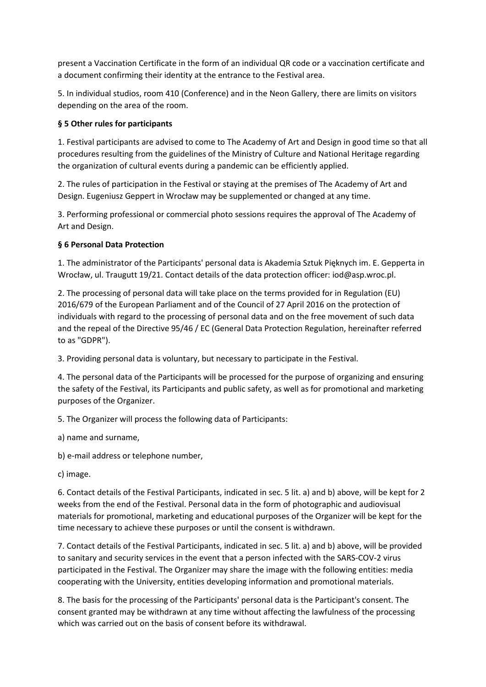present a Vaccination Certificate in the form of an individual QR code or a vaccination certificate and a document confirming their identity at the entrance to the Festival area.

5. In individual studios, room 410 (Conference) and in the Neon Gallery, there are limits on visitors depending on the area of the room.

## **§ 5 Other rules for participants**

1. Festival participants are advised to come to The Academy of Art and Design in good time so that all procedures resulting from the guidelines of the Ministry of Culture and National Heritage regarding the organization of cultural events during a pandemic can be efficiently applied.

2. The rules of participation in the Festival or staying at the premises of The Academy of Art and Design. Eugeniusz Geppert in Wrocław may be supplemented or changed at any time.

3. Performing professional or commercial photo sessions requires the approval of The Academy of Art and Design.

#### **§ 6 Personal Data Protection**

1. The administrator of the Participants' personal data is Akademia Sztuk Pięknych im. E. Gepperta in Wrocław, ul. Traugutt 19/21. Contact details of the data protection officer: iod@asp.wroc.pl.

2. The processing of personal data will take place on the terms provided for in Regulation (EU) 2016/679 of the European Parliament and of the Council of 27 April 2016 on the protection of individuals with regard to the processing of personal data and on the free movement of such data and the repeal of the Directive 95/46 / EC (General Data Protection Regulation, hereinafter referred to as "GDPR").

3. Providing personal data is voluntary, but necessary to participate in the Festival.

4. The personal data of the Participants will be processed for the purpose of organizing and ensuring the safety of the Festival, its Participants and public safety, as well as for promotional and marketing purposes of the Organizer.

5. The Organizer will process the following data of Participants:

a) name and surname,

b) e-mail address or telephone number,

c) image.

6. Contact details of the Festival Participants, indicated in sec. 5 lit. a) and b) above, will be kept for 2 weeks from the end of the Festival. Personal data in the form of photographic and audiovisual materials for promotional, marketing and educational purposes of the Organizer will be kept for the time necessary to achieve these purposes or until the consent is withdrawn.

7. Contact details of the Festival Participants, indicated in sec. 5 lit. a) and b) above, will be provided to sanitary and security services in the event that a person infected with the SARS-COV-2 virus participated in the Festival. The Organizer may share the image with the following entities: media cooperating with the University, entities developing information and promotional materials.

8. The basis for the processing of the Participants' personal data is the Participant's consent. The consent granted may be withdrawn at any time without affecting the lawfulness of the processing which was carried out on the basis of consent before its withdrawal.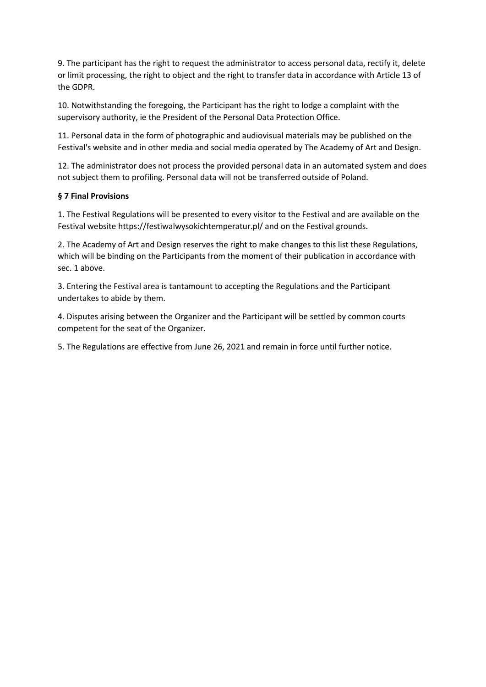9. The participant has the right to request the administrator to access personal data, rectify it, delete or limit processing, the right to object and the right to transfer data in accordance with Article 13 of the GDPR.

10. Notwithstanding the foregoing, the Participant has the right to lodge a complaint with the supervisory authority, ie the President of the Personal Data Protection Office.

11. Personal data in the form of photographic and audiovisual materials may be published on the Festival's website and in other media and social media operated by The Academy of Art and Design.

12. The administrator does not process the provided personal data in an automated system and does not subject them to profiling. Personal data will not be transferred outside of Poland.

## **§ 7 Final Provisions**

1. The Festival Regulations will be presented to every visitor to the Festival and are available on the Festival website https://festiwalwysokichtemperatur.pl/ and on the Festival grounds.

2. The Academy of Art and Design reserves the right to make changes to this list these Regulations, which will be binding on the Participants from the moment of their publication in accordance with sec. 1 above.

3. Entering the Festival area is tantamount to accepting the Regulations and the Participant undertakes to abide by them.

4. Disputes arising between the Organizer and the Participant will be settled by common courts competent for the seat of the Organizer.

5. The Regulations are effective from June 26, 2021 and remain in force until further notice.